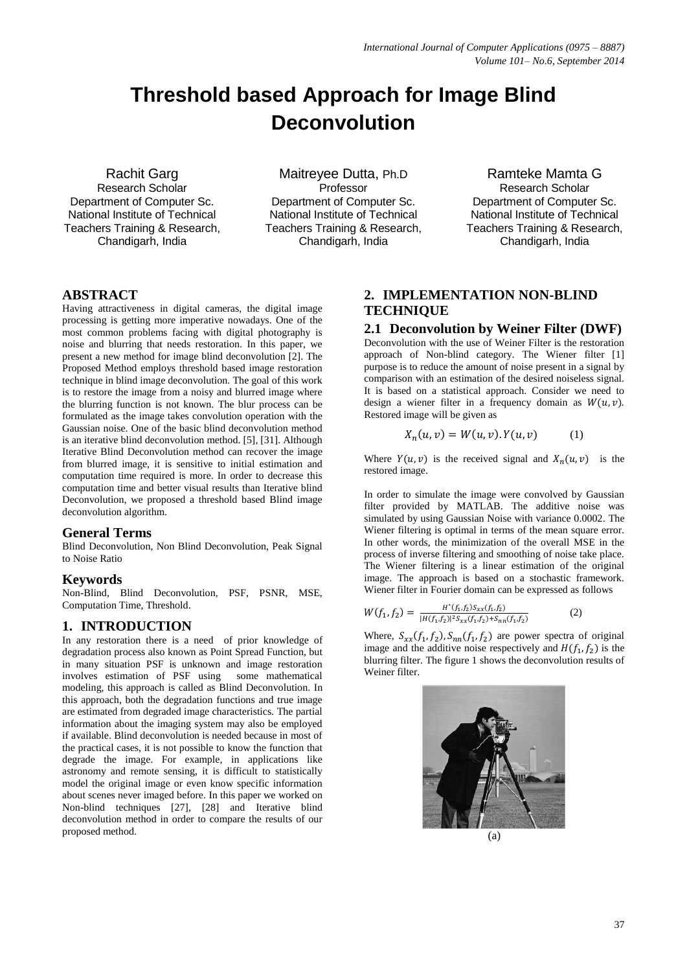# **Threshold based Approach for Image Blind Deconvolution**

Rachit Garg Research Scholar Department of Computer Sc. National Institute of Technical Teachers Training & Research, Chandigarh, India

Maitreyee Dutta, Ph.D Professor Department of Computer Sc. National Institute of Technical Teachers Training & Research, Chandigarh, India

Ramteke Mamta G Research Scholar Department of Computer Sc. National Institute of Technical Teachers Training & Research, Chandigarh, India

## **ABSTRACT**

Having attractiveness in digital cameras, the digital image processing is getting more imperative nowadays. One of the most common problems facing with digital photography is noise and blurring that needs restoration. In this paper, we present a new method for image blind deconvolution [2]. The Proposed Method employs threshold based image restoration technique in blind image deconvolution. The goal of this work is to restore the image from a noisy and blurred image where the blurring function is not known. The blur process can be formulated as the image takes convolution operation with the Gaussian noise. One of the basic blind deconvolution method is an iterative blind deconvolution method. [5], [31]. Although Iterative Blind Deconvolution method can recover the image from blurred image, it is sensitive to initial estimation and computation time required is more. In order to decrease this computation time and better visual results than Iterative blind Deconvolution, we proposed a threshold based Blind image deconvolution algorithm.

## **General Terms**

Blind Deconvolution, Non Blind Deconvolution, Peak Signal to Noise Ratio

## **Keywords**

Non-Blind, Blind Deconvolution, PSF, PSNR, MSE, Computation Time, Threshold.

## **1. INTRODUCTION**

In any restoration there is a need of prior knowledge of degradation process also known as Point Spread Function, but in many situation PSF is unknown and image restoration involves estimation of PSF using some mathematical modeling, this approach is called as Blind Deconvolution. In this approach, both the degradation functions and true image are estimated from degraded image characteristics. The partial information about the imaging system may also be employed if available. Blind deconvolution is needed because in most of the practical cases, it is not possible to know the function that degrade the image. For example, in applications like astronomy and remote sensing, it is difficult to statistically model the original image or even know specific information about scenes never imaged before. In this paper we worked on Non-blind techniques [27], [28] and Iterative blind deconvolution method in order to compare the results of our proposed method.

# **2. IMPLEMENTATION NON-BLIND TECHNIQUE**

#### **2.1 Deconvolution by Weiner Filter (DWF)**

Deconvolution with the use of Weiner Filter is the restoration approach of Non-blind category. The Wiener filter [1] purpose is to reduce the amount of noise present in a signal by comparison with an estimation of the desired noiseless signal. It is based on a statistical approach. Consider we need to design a wiener filter in a frequency domain as  $W(u, v)$ . Restored image will be given as

$$
X_n(u, v) = W(u, v). Y(u, v)
$$
 (1)

Where  $Y(u, v)$  is the received signal and  $X_n(u, v)$  is the restored image.

In order to simulate the image were convolved by Gaussian filter provided by MATLAB. The additive noise was simulated by using Gaussian Noise with variance 0.0002. The Wiener filtering is optimal in terms of the mean square error. In other words, the minimization of the overall MSE in the process of inverse filtering and smoothing of noise take place. The Wiener filtering is a linear estimation of the original image. The approach is based on a stochastic framework. Wiener filter in Fourier domain can be expressed as follows

$$
W(f_1, f_2) = \frac{H^*(f_1, f_2)S_{xx}(f_1, f_2)}{|H(f_1, f_2)|^2 S_{xx}(f_1, f_2) + S_{nn}(f_1, f_2)}
$$
(2)

Where,  $S_{xx}(f_1, f_2)$ ,  $S_{nn}(f_1, f_2)$  are power spectra of original image and the additive noise respectively and  $H(f_1, f_2)$  is the blurring filter. The figure 1 shows the deconvolution results of Weiner filter.



(a)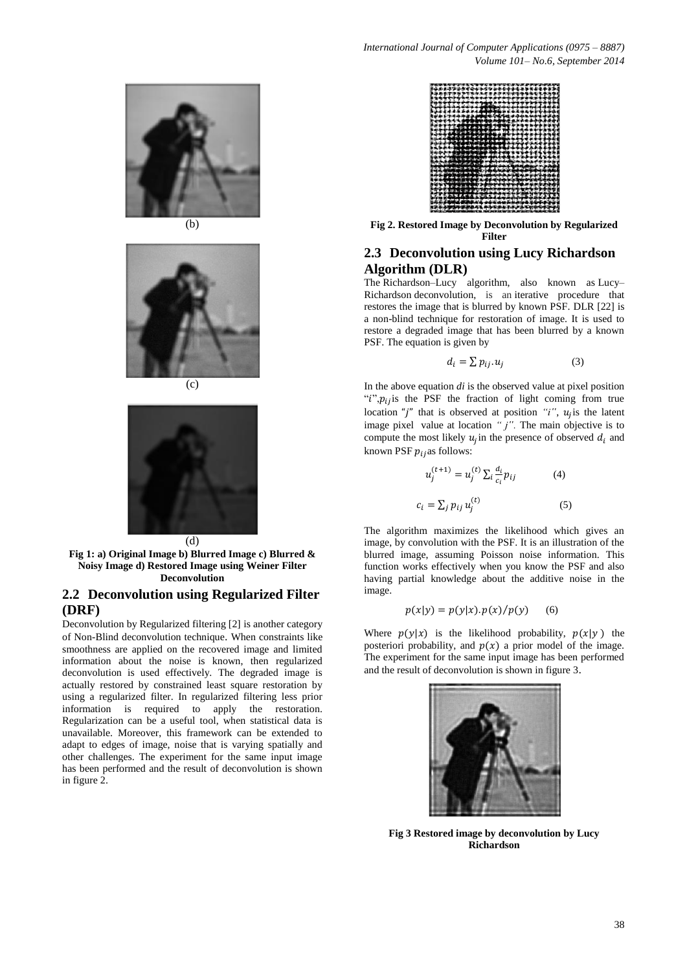







**Fig 1: a) Original Image b) Blurred Image c) Blurred & Noisy Image d) Restored Image using Weiner Filter Deconvolution**

## **2.2 Deconvolution using Regularized Filter (DRF)**

Deconvolution by Regularized filtering [2] is another category of Non-Blind deconvolution technique. When constraints like smoothness are applied on the recovered image and limited information about the noise is known, then regularized deconvolution is used effectively. The degraded image is actually restored by constrained least square restoration by using a regularized filter. In regularized filtering less prior information is required to apply the restoration. Regularization can be a useful tool, when statistical data is unavailable. Moreover, this framework can be extended to adapt to edges of image, noise that is varying spatially and other challenges. The experiment for the same input image has been performed and the result of deconvolution is shown in figure 2.



**Fig 2. Restored Image by Deconvolution by Regularized Filter** 

## **2.3 Deconvolution using Lucy Richardson Algorithm (DLR)**

The Richardson–Lucy algorithm, also known as Lucy– Richardson deconvolution, is an iterative procedure that restores the image that is blurred by known PSF. DLR [22] is a non-blind technique for restoration of image. It is used to restore a degraded image that has been blurred by a known PSF. The equation is given by

$$
d_i = \sum p_{ij} \cdot u_j \tag{3}
$$

In the above equation *di* is the observed value at pixel position " $i$ ", $p_{ij}$  is the PSF the fraction of light coming from true location "*j*" that is observed at position "*i*",  $u_i$  is the latent image pixel value at location "*j*". The main objective is to compute the most likely  $u_i$  in the presence of observed  $d_i$  and known PSF  $p_{ij}$ as follows:

$$
u_j^{(t+1)} = u_j^{(t)} \sum_i \frac{d_i}{c_i} p_{ij}
$$
 (4)  

$$
c_i = \sum_j p_{ij} u_i^{(t)}
$$
 (5)

The algorithm maximizes the likelihood which gives an image, by convolution with the PSF. It is an illustration of the blurred image, assuming Poisson noise information. This function works effectively when you know the PSF and also having partial knowledge about the additive noise in the image.

$$
p(x|y) = p(y|x).p(x)/p(y) \qquad (6)
$$

Where  $p(y|x)$  is the likelihood probability,  $p(x|y)$  the posteriori probability, and  $p(x)$  a prior model of the image. The experiment for the same input image has been performed and the result of deconvolution is shown in figure 3.



**Fig 3 Restored image by deconvolution by Lucy Richardson**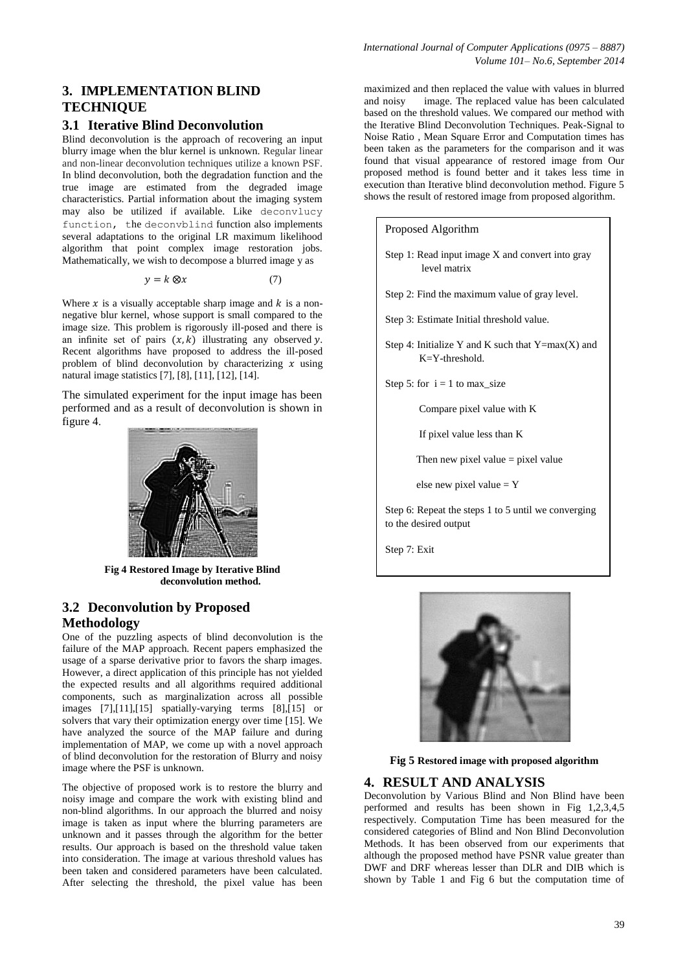#### **3.1 Iterative Blind Deconvolution**

Blind deconvolution is the approach of recovering an input blurry image when the blur kernel is unknown. Regular linear and non-linear deconvolution techniques utilize a known PSF. In blind deconvolution, both the degradation function and the true image are estimated from the degraded image characteristics. Partial information about the imaging system may also be utilized if available. Like deconvlucy function, the deconvblind function also implements several adaptations to the original LR maximum likelihood algorithm that point complex image restoration jobs. Mathematically, we wish to decompose a blurred image y as

$$
y = k \otimes x \tag{7}
$$

Where  $x$  is a visually acceptable sharp image and  $k$  is a nonnegative blur kernel, whose support is small compared to the image size. This problem is rigorously ill-posed and there is an infinite set of pairs  $(x, k)$  illustrating any observed y. Recent algorithms have proposed to address the ill-posed problem of blind deconvolution by characterizing  $\hat{x}$  using natural image statistics [7], [8], [11], [12], [14].

The simulated experiment for the input image has been performed and as a result of deconvolution is shown in figure 4.



**Fig 4 Restored Image by Iterative Blind deconvolution method.**

# **3.2 Deconvolution by Proposed Methodology**

One of the puzzling aspects of blind deconvolution is the failure of the MAP approach. Recent papers emphasized the usage of a sparse derivative prior to favors the sharp images. However, a direct application of this principle has not yielded the expected results and all algorithms required additional components, such as marginalization across all possible images [7],[11],[15] spatially-varying terms [8],[15] or solvers that vary their optimization energy over time [15]. We have analyzed the source of the MAP failure and during implementation of MAP, we come up with a novel approach of blind deconvolution for the restoration of Blurry and noisy image where the PSF is unknown.

The objective of proposed work is to restore the blurry and noisy image and compare the work with existing blind and non-blind algorithms. In our approach the blurred and noisy image is taken as input where the blurring parameters are unknown and it passes through the algorithm for the better results. Our approach is based on the threshold value taken into consideration. The image at various threshold values has been taken and considered parameters have been calculated. After selecting the threshold, the pixel value has been maximized and then replaced the value with values in blurred and noisy image. The replaced value has been calculated based on the threshold values. We compared our method with the Iterative Blind Deconvolution Techniques. Peak-Signal to Noise Ratio , Mean Square Error and Computation times has been taken as the parameters for the comparison and it was found that visual appearance of restored image from Our proposed method is found better and it takes less time in execution than Iterative blind deconvolution method. Figure 5 shows the result of restored image from proposed algorithm.





**Fig 5 Restored image with proposed algorithm**

## **4. RESULT AND ANALYSIS**

Deconvolution by Various Blind and Non Blind have been performed and results has been shown in Fig 1,2,3,4,5 respectively. Computation Time has been measured for the considered categories of Blind and Non Blind Deconvolution Methods. It has been observed from our experiments that although the proposed method have PSNR value greater than DWF and DRF whereas lesser than DLR and DIB which is shown by Table 1 and Fig 6 but the computation time of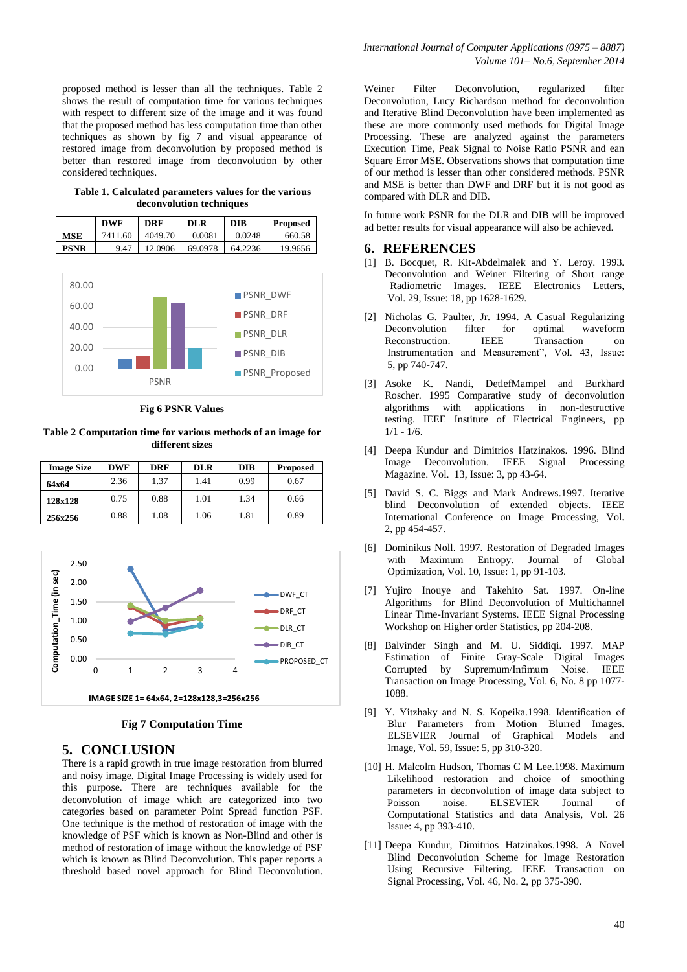proposed method is lesser than all the techniques. Table 2 shows the result of computation time for various techniques with respect to different size of the image and it was found that the proposed method has less computation time than other techniques as shown by fig 7 and visual appearance of restored image from deconvolution by proposed method is better than restored image from deconvolution by other considered techniques.

**Table 1. Calculated parameters values for the various deconvolution techniques**

|             | <b>DWF</b>                 | <b>DRF</b> | <b>DLR</b> | <b>DIB</b> | <b>Proposed</b> |  |
|-------------|----------------------------|------------|------------|------------|-----------------|--|
| <b>MSE</b>  | 7411.60                    | 4049.70    | 0.0081     | 0.0248     | 660.58          |  |
| <b>PSNR</b> | 9.47                       | 12.0906    | 69.0978    | 64.2236    | 19.9656         |  |
| 80.00       |                            |            |            |            |                 |  |
| 60.00       | <b>PSNR DWF</b><br>$    -$ |            |            |            |                 |  |



**Fig 6 PSNR Values**

**Table 2 Computation time for various methods of an image for different sizes**

| <b>Image Size</b> | <b>DWF</b> | <b>DRF</b> | <b>DLR</b> | <b>DIB</b> | <b>Proposed</b> |
|-------------------|------------|------------|------------|------------|-----------------|
| 64x64             | 2.36       | 1.37       | 1.41       | 0.99       | 0.67            |
| 128x128           | 0.75       | 0.88       | 1.01       | 1.34       | 0.66            |
| 256x256           | 0.88       | 1.08       | 1.06       | 1.81       | 0.89            |



**Fig 7 Computation Time** 

#### **5. CONCLUSION**

There is a rapid growth in true image restoration from blurred and noisy image. Digital Image Processing is widely used for this purpose. There are techniques available for the deconvolution of image which are categorized into two categories based on parameter Point Spread function PSF. One technique is the method of restoration of image with the knowledge of PSF which is known as Non-Blind and other is method of restoration of image without the knowledge of PSF which is known as Blind Deconvolution. This paper reports a threshold based novel approach for Blind Deconvolution.

Weiner Filter Deconvolution, regularized filter Deconvolution, Lucy Richardson method for deconvolution and Iterative Blind Deconvolution have been implemented as these are more commonly used methods for Digital Image Processing. These are analyzed against the parameters Execution Time, Peak Signal to Noise Ratio PSNR and ean Square Error MSE. Observations shows that computation time of our method is lesser than other considered methods. PSNR and MSE is better than DWF and DRF but it is not good as compared with DLR and DIB.

In future work PSNR for the DLR and DIB will be improved ad better results for visual appearance will also be achieved.

#### **6. REFERENCES**

- [1] B. Bocquet, R. Kit-Abdelmalek and Y. Leroy. 1993. Deconvolution and Weiner Filtering of Short range Radiometric Images. IEEE Electronics Letters, Vol. 29, Issue: 18, pp 1628-1629.
- [2] Nicholas G. Paulter, Jr. 1994. A Casual Regularizing Deconvolution filter for optimal waveform Reconstruction. **IEEE** Transaction on Instrumentation and Measurement", Vol. 43, Issue: 5, pp 740-747.
- [3] Asoke K. Nandi, DetlefMampel and Burkhard Roscher. 1995 Comparative study of deconvolution algorithms with applications in non-destructive testing. IEEE Institute of Electrical Engineers, pp  $1/1 - 1/6$ .
- [4] Deepa Kundur and Dimitrios Hatzinakos. 1996. Blind Image Deconvolution. IEEE Signal Processing Magazine. Vol. 13, Issue: 3, pp 43-64.
- [5] David S. C. Biggs and Mark Andrews.1997. Iterative blind Deconvolution of extended objects. IEEE International Conference on Image Processing, Vol. 2, pp 454-457.
- [6] Dominikus Noll. 1997. Restoration of Degraded Images with Maximum Entropy. Journal of Global Optimization, Vol. 10, Issue: 1, pp 91-103.
- [7] Yujiro Inouye and Takehito Sat. 1997. On-line Algorithms for Blind Deconvolution of Multichannel Linear Time-Invariant Systems. IEEE Signal Processing Workshop on Higher order Statistics, pp 204-208.
- [8] Balvinder Singh and M. U. Siddiqi. 1997. MAP Estimation of Finite Gray-Scale Digital Images Corrupted by Supremum/Infimum Noise. IEEE Transaction on Image Processing, Vol. 6, No. 8 pp 1077- 1088.
- [9] Y. Yitzhaky and N. S. Kopeika.1998. Identification of Blur Parameters from Motion Blurred Images. ELSEVIER Journal of Graphical Models and Image, Vol. 59, Issue: 5, pp 310-320.
- [10] H. Malcolm Hudson, Thomas C M Lee.1998. Maximum Likelihood restoration and choice of smoothing parameters in deconvolution of image data subject to Poisson noise. ELSEVIER Journal of Computational Statistics and data Analysis, Vol. 26 Issue: 4, pp 393-410.
- [11] Deepa Kundur, Dimitrios Hatzinakos.1998. A Novel Blind Deconvolution Scheme for Image Restoration Using Recursive Filtering. IEEE Transaction on Signal Processing, Vol. 46, No. 2, pp 375-390.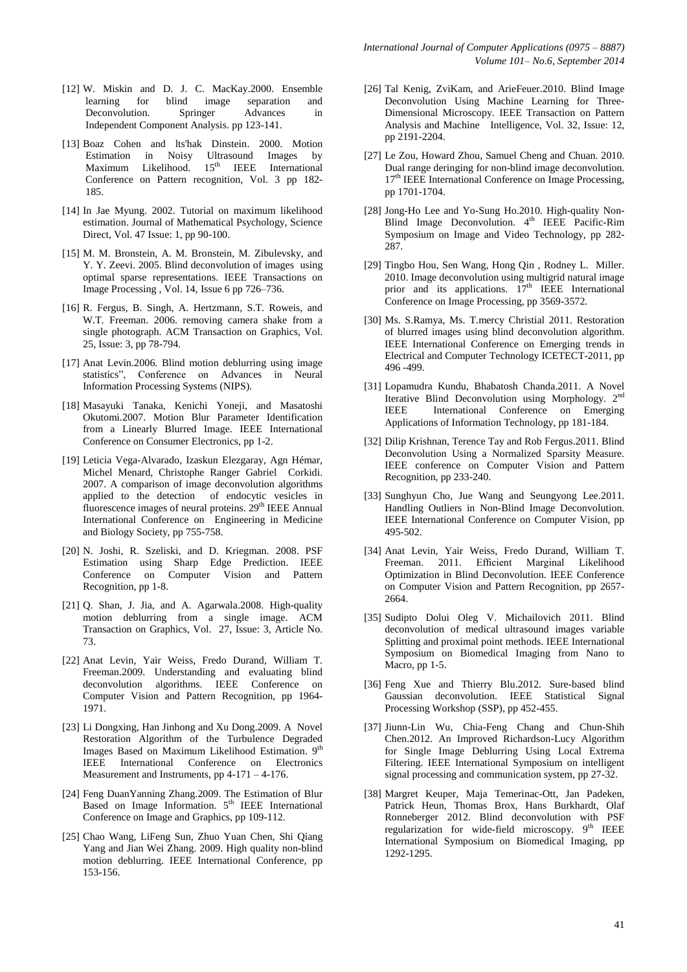- [12] W. Miskin and D. J. C. MacKay.2000. Ensemble learning for blind image separation and Deconvolution. Springer Advances in Independent Component Analysis. pp 123-141.
- [13] Boaz Cohen and lts'hak Dinstein. 2000. Motion Estimation in Noisy Ultrasound Images by Maximum Likelihood. 15<sup>th</sup> IEEE International Conference on Pattern recognition, Vol. 3 pp 182- 185.
- [14] In Jae Myung. 2002. Tutorial on maximum likelihood estimation. Journal of Mathematical Psychology, Science Direct, Vol. 47 Issue: 1, pp 90-100.
- [15] M. M. Bronstein, A. M. Bronstein, M. Zibulevsky, and Y. Y. Zeevi. 2005. Blind deconvolution of images using optimal sparse representations. IEEE Transactions on Image Processing , Vol. 14, Issue 6 pp 726–736.
- [16] R. Fergus, B. Singh, A. Hertzmann, S.T. Roweis, and W.T. Freeman. 2006. removing camera shake from a single photograph. ACM Transaction on Graphics, Vol. 25, Issue: 3, pp 78-794.
- [17] Anat Levin.2006. Blind motion deblurring using image statistics", Conference on Advances in Neural Information Processing Systems (NIPS).
- [18] Masayuki Tanaka, Kenichi Yoneji, and Masatoshi Okutomi.2007. Motion Blur Parameter Identification from a Linearly Blurred Image. IEEE International Conference on Consumer Electronics, pp 1-2.
- [19] Leticia Vega-Alvarado, Izaskun Elezgaray, Agn Hémar, Michel Menard, Christophe Ranger Gabriel Corkidi. 2007. A comparison of image deconvolution algorithms applied to the detection of endocytic vesicles in fluorescence images of neural proteins. 29<sup>th</sup> IEEE Annual International Conference on Engineering in Medicine and Biology Society, pp 755-758.
- [20] N. Joshi, R. Szeliski, and D. Kriegman. 2008. PSF Estimation using Sharp Edge Prediction. IEEE Conference on Computer Vision and Pattern Recognition, pp 1-8.
- [21] Q. Shan, J. Jia, and A. Agarwala.2008. High-quality motion deblurring from a single image. ACM Transaction on Graphics, Vol. 27, Issue: 3, Article No. 73.
- [22] Anat Levin, Yair Weiss, Fredo Durand, William T. Freeman.2009. Understanding and evaluating blind deconvolution algorithms. IEEE Conference on Computer Vision and Pattern Recognition, pp 1964- 1971.
- [23] Li Dongxing, Han Jinhong and Xu Dong.2009. A Novel Restoration Algorithm of the Turbulence Degraded Images Based on Maximum Likelihood Estimation. 9<sup>th</sup> IEEE International Conference on Electronics Measurement and Instruments, pp 4-171 – 4-176.
- [24] Feng DuanYanning Zhang.2009. The Estimation of Blur Based on Image Information. 5<sup>th</sup> IEEE International Conference on Image and Graphics, pp 109-112.
- [25] Chao Wang, LiFeng Sun, Zhuo Yuan Chen, Shi Qiang Yang and Jian Wei Zhang. 2009. High quality non-blind motion deblurring. IEEE International Conference, pp 153-156.
- [26] Tal Kenig, ZviKam, and ArieFeuer.2010. Blind Image Deconvolution Using Machine Learning for Three-Dimensional Microscopy. IEEE Transaction on Pattern Analysis and Machine Intelligence, Vol. 32, Issue: 12, pp 2191-2204.
- [27] Le Zou, Howard Zhou, Samuel Cheng and Chuan. 2010. Dual range deringing for non-blind image deconvolution. 17<sup>th</sup> IEEE International Conference on Image Processing, pp 1701-1704.
- [28] Jong-Ho Lee and Yo-Sung Ho.2010. High-quality Non-Blind Image Deconvolution. 4<sup>th</sup> IEEE Pacific-Rim Symposium on Image and Video Technology, pp 282- 287.
- [29] Tingbo Hou, Sen Wang, Hong Qin , Rodney L. Miller. 2010. Image deconvolution using multigrid natural image prior and its applications.  $17<sup>th</sup>$  IEEE International Conference on Image Processing, pp 3569-3572.
- [30] Ms. S.Ramya, Ms. T.mercy Christial 2011. Restoration of blurred images using blind deconvolution algorithm. IEEE International Conference on Emerging trends in Electrical and Computer Technology ICETECT-2011, pp 496 -499.
- [31] Lopamudra Kundu, Bhabatosh Chanda.2011. A Novel Iterative Blind Deconvolution using Morphology. 2<sup>nd</sup> IEEE International Conference on Emerging Applications of Information Technology, pp 181-184.
- [32] Dilip Krishnan, Terence Tay and Rob Fergus. 2011. Blind Deconvolution Using a Normalized Sparsity Measure. IEEE conference on Computer Vision and Pattern Recognition, pp 233-240.
- [33] Sunghyun Cho, Jue Wang and Seungyong Lee.2011. Handling Outliers in Non-Blind Image Deconvolution. IEEE International Conference on Computer Vision, pp 495-502.
- [34] Anat Levin, Yair Weiss, Fredo Durand, William T. Freeman. 2011. Efficient Marginal Likelihood Optimization in Blind Deconvolution. IEEE Conference on Computer Vision and Pattern Recognition, pp 2657- 2664.
- [35] Sudipto Dolui Oleg V. Michailovich 2011. Blind deconvolution of medical ultrasound images variable Splitting and proximal point methods. IEEE International Symposium on Biomedical Imaging from Nano to Macro, pp 1-5.
- [36] Feng Xue and Thierry Blu.2012. Sure-based blind Gaussian deconvolution. IEEE Statistical Signal Processing Workshop (SSP), pp 452-455.
- [37] Jiunn-Lin Wu, Chia-Feng Chang and Chun-Shih Chen.2012. An Improved Richardson-Lucy Algorithm for Single Image Deblurring Using Local Extrema Filtering. IEEE International Symposium on intelligent signal processing and communication system, pp 27-32.
- [38] Margret Keuper, Maja Temerinac-Ott, Jan Padeken, Patrick Heun, Thomas Brox, Hans Burkhardt, Olaf Ronneberger 2012. Blind deconvolution with PSF regularization for wide-field microscopy.  $9<sup>th</sup>$  IEEE International Symposium on Biomedical Imaging, pp 1292-1295.